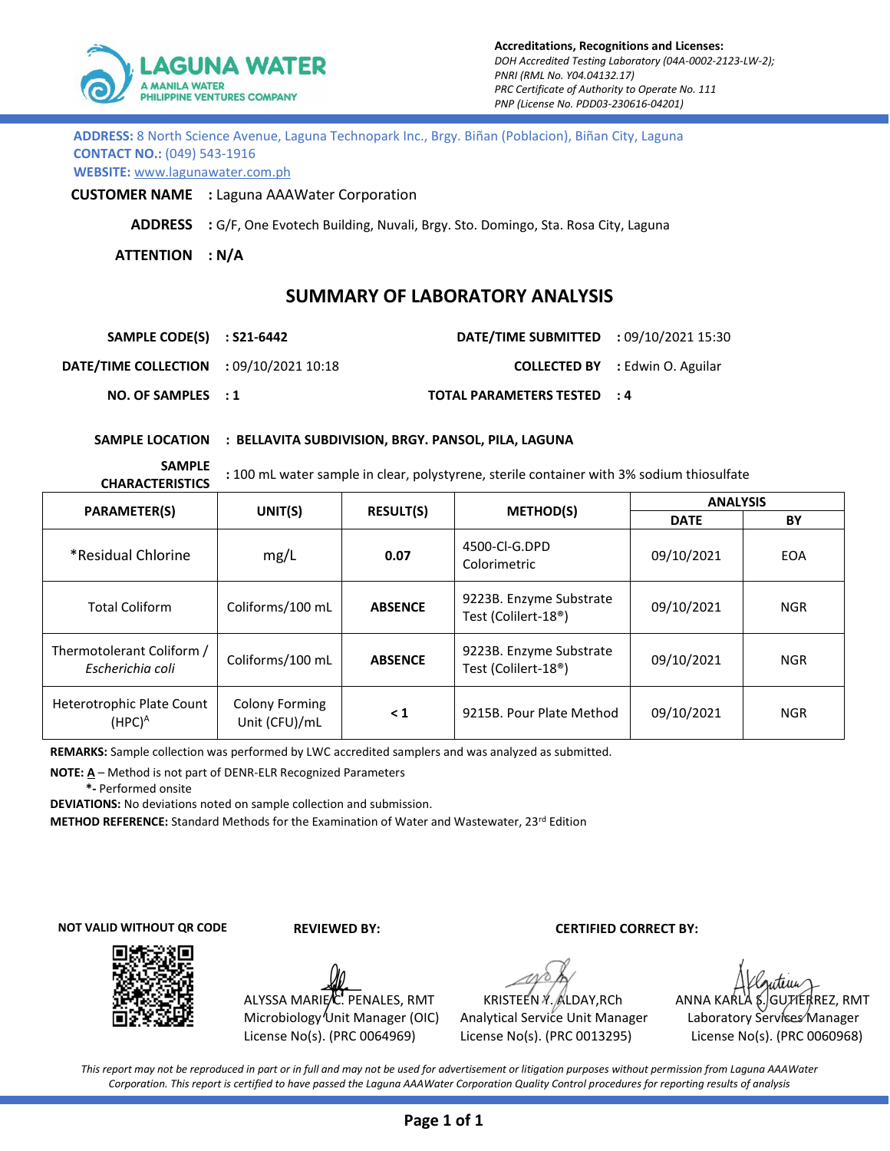

| ADDRESS: 8 North Science Avenue, Laguna Technopark Inc., Brgy. Biñan (Poblacion), Biñan City, Laguna |  |
|------------------------------------------------------------------------------------------------------|--|
| <b>CONTACT NO.: (049) 543-1916</b>                                                                   |  |
| <b>WEBSITE:</b> www.lagunawater.com.ph                                                               |  |

**CUSTOMER NAME :** Laguna AAAWater Corporation

**ADDRESS :** G/F, One Evotech Building, Nuvali, Brgy. Sto. Domingo, Sta. Rosa City, Laguna

**ATTENTION : N/A**

## **SUMMARY OF LABORATORY ANALYSIS**

| SAMPLE CODE(S) : S21-6442                      | <b>DATE/TIME SUBMITTED</b> : 09/10/2021 15:30 |                                        |
|------------------------------------------------|-----------------------------------------------|----------------------------------------|
| <b>DATE/TIME COLLECTION : 09/10/2021 10:18</b> |                                               | <b>COLLECTED BY</b> : Edwin O. Aguilar |
| NO. OF SAMPLES : 1                             | TOTAL PARAMETERS TESTED : 4                   |                                        |

**SAMPLE LOCATION : BELLAVITA SUBDIVISION, BRGY. PANSOL, PILA, LAGUNA**

**SAMPLE** 

**CHARACTERISTICS :** 100 mL water sample in clear, polystyrene, sterile container with 3% sodium thiosulfate

|                                                    |                                        |                  |                                                             | <b>ANALYSIS</b> |            |  |
|----------------------------------------------------|----------------------------------------|------------------|-------------------------------------------------------------|-----------------|------------|--|
| <b>PARAMETER(S)</b>                                | UNIT(S)                                | <b>RESULT(S)</b> | <b>METHOD(S)</b>                                            | <b>DATE</b>     | BY         |  |
| *Residual Chlorine                                 | mg/L                                   | 0.07             | 4500-CI-G.DPD<br>Colorimetric                               | 09/10/2021      | <b>EOA</b> |  |
| <b>Total Coliform</b>                              | Coliforms/100 mL                       | <b>ABSENCE</b>   | 9223B. Enzyme Substrate<br>Test (Colilert-18 <sup>®</sup> ) | 09/10/2021      | <b>NGR</b> |  |
| Thermotolerant Coliform /<br>Escherichia coli      | Coliforms/100 mL                       | <b>ABSENCE</b>   | 9223B. Enzyme Substrate<br>Test (Colilert-18 <sup>®</sup> ) | 09/10/2021      | <b>NGR</b> |  |
| Heterotrophic Plate Count<br>(HPC) $^{\mathsf{A}}$ | <b>Colony Forming</b><br>Unit (CFU)/mL | $\leq 1$         | 9215B. Pour Plate Method                                    | 09/10/2021      | <b>NGR</b> |  |

**REMARKS:** Sample collection was performed by LWC accredited samplers and was analyzed as submitted.

**NOTE: A** – Method is not part of DENR-ELR Recognized Parameters

 **\*-** Performed onsite

**DEVIATIONS:** No deviations noted on sample collection and submission.

**METHOD REFERENCE:** Standard Methods for the Examination of Water and Wastewater, 23rd Edition

**NOT VALID WITHOUT QR CODE**



 **REVIEWED BY: CERTIFIED CORRECT BY:**

ALYSSA MARIE/C. PENALES, RMT Microbiology Unit Manager (OIC) License No(s). (PRC 0064969)

Analytical Service Unit Manager Laboratory Services Manager License No(s). (PRC 0013295) License No(s). (PRC 0060968)

KRISTEEN Y. ALDAY, RCh ANNA KARLA \$. GUTIERREZ, RMT

*This report may not be reproduced in part or in full and may not be used for advertisement or litigation purposes without permission from Laguna AAAWater Corporation. This report is certified to have passed the Laguna AAAWater Corporation Quality Control procedures for reporting results of analysis*